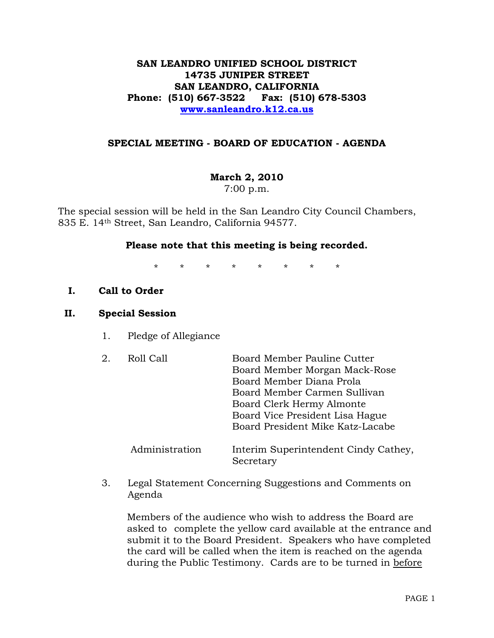## **SAN LEANDRO UNIFIED SCHOOL DISTRICT 14735 JUNIPER STREET SAN LEANDRO, CALIFORNIA Phone: (510) 667-3522 Fax: (510) 678-5303 [www.sanleandro.k12.ca.us](http://www.sanleandro.k12.ca.us/)**

### **SPECIAL MEETING - BOARD OF EDUCATION - AGENDA**

## **March 2, 2010**

7:00 p.m.

The special session will be held in the San Leandro City Council Chambers, 835 E. 14th Street, San Leandro, California 94577.

### **Please note that this meeting is being recorded.**

\* \* \* \* \* \* \* \*

### **I. Call to Order**

#### **II. Special Session**

1. Pledge of Allegiance

| 2. | Roll Call      | Board Member Pauline Cutter<br>Board Member Morgan Mack-Rose<br>Board Member Diana Prola<br>Board Member Carmen Sullivan<br>Board Clerk Hermy Almonte<br>Board Vice President Lisa Hague<br>Board President Mike Katz-Lacabe |
|----|----------------|------------------------------------------------------------------------------------------------------------------------------------------------------------------------------------------------------------------------------|
|    | Administration | Interim Superintendent Cindy Cathey,<br>Secretary                                                                                                                                                                            |

3. Legal Statement Concerning Suggestions and Comments on Agenda

 Members of the audience who wish to address the Board are asked to complete the yellow card available at the entrance and submit it to the Board President. Speakers who have completed the card will be called when the item is reached on the agenda during the Public Testimony. Cards are to be turned in before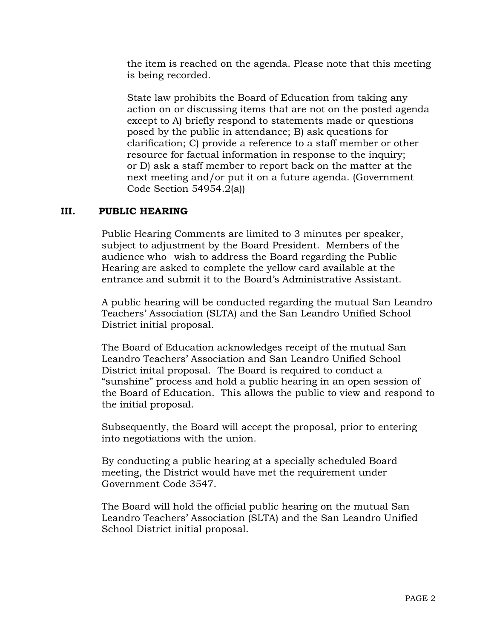the item is reached on the agenda. Please note that this meeting is being recorded.

 State law prohibits the Board of Education from taking any action on or discussing items that are not on the posted agenda except to A) briefly respond to statements made or questions posed by the public in attendance; B) ask questions for clarification; C) provide a reference to a staff member or other resource for factual information in response to the inquiry; or D) ask a staff member to report back on the matter at the next meeting and/or put it on a future agenda. (Government Code Section 54954.2(a))

## **III. PUBLIC HEARING**

Public Hearing Comments are limited to 3 minutes per speaker, subject to adjustment by the Board President. Members of the audience who wish to address the Board regarding the Public Hearing are asked to complete the yellow card available at the entrance and submit it to the Board's Administrative Assistant.

A public hearing will be conducted regarding the mutual San Leandro Teachers' Association (SLTA) and the San Leandro Unified School District initial proposal.

The Board of Education acknowledges receipt of the mutual San Leandro Teachers' Association and San Leandro Unified School District inital proposal. The Board is required to conduct a "sunshine" process and hold a public hearing in an open session of the Board of Education. This allows the public to view and respond to the initial proposal.

Subsequently, the Board will accept the proposal, prior to entering into negotiations with the union.

By conducting a public hearing at a specially scheduled Board meeting, the District would have met the requirement under Government Code 3547.

The Board will hold the official public hearing on the mutual San Leandro Teachers' Association (SLTA) and the San Leandro Unified School District initial proposal.